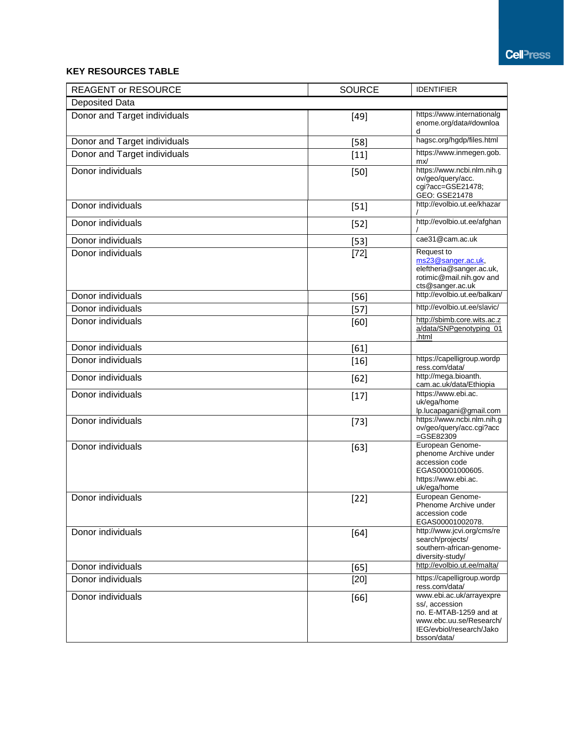## **KEY RESOURCES TABLE**

| <b>REAGENT or RESOURCE</b>   | <b>SOURCE</b> | <b>IDENTIFIER</b>                                                                                                                          |
|------------------------------|---------------|--------------------------------------------------------------------------------------------------------------------------------------------|
| <b>Deposited Data</b>        |               |                                                                                                                                            |
| Donor and Target individuals | $[49]$        | https://www.internationalg<br>enome.org/data#downloa<br>d                                                                                  |
| Donor and Target individuals | $[58]$        | hagsc.org/hgdp/files.html                                                                                                                  |
| Donor and Target individuals | $[11]$        | https://www.inmegen.gob.<br>mx/                                                                                                            |
| Donor individuals            | $[50]$        | https://www.ncbi.nlm.nih.g<br>ov/geo/query/acc.<br>cgi?acc=GSE21478;<br>GEO: GSE21478                                                      |
| Donor individuals            | $[51]$        | http://evolbio.ut.ee/khazar                                                                                                                |
| Donor individuals            | $[52]$        | http://evolbio.ut.ee/afghan                                                                                                                |
| Donor individuals            | $[53]$        | cae31@cam.ac.uk                                                                                                                            |
| Donor individuals            | $[72]$        | Request to<br>ms23@sanger.ac.uk,<br>eleftheria@sanger.ac.uk,<br>rotimic@mail.nih.gov and<br>cts@sanger.ac.uk                               |
| Donor individuals            | $[56]$        | http://evolbio.ut.ee/balkan/                                                                                                               |
| Donor individuals            | $[57]$        | http://evolbio.ut.ee/slavic/                                                                                                               |
| Donor individuals            | [60]          | http://sbimb.core.wits.ac.z<br>a/data/SNPgenotyping_01<br>.html                                                                            |
| Donor individuals            | [61]          |                                                                                                                                            |
| Donor individuals            | $[16]$        | https://capelligroup.wordp<br>ress.com/data/                                                                                               |
| Donor individuals            | $[62]$        | http://mega.bioanth.<br>cam.ac.uk/data/Ethiopia                                                                                            |
| Donor individuals            | $[17]$        | https://www.ebi.ac.<br>uk/ega/home<br>lp.lucapagani@gmail.com                                                                              |
| Donor individuals            | $[73]$        | https://www.ncbi.nlm.nih.g<br>ov/geo/query/acc.cgi?acc<br>$=GSE82309$                                                                      |
| Donor individuals            | $[63]$        | European Genome-<br>phenome Archive under<br>accession code<br>EGAS00001000605.<br>https://www.ebi.ac.<br>uk/ega/home                      |
| Donor individuals            | $[22]$        | European Genome-<br>Phenome Archive under<br>accession code<br>EGAS00001002078.                                                            |
| Donor individuals            | $[64]$        | http://www.jcvi.org/cms/re<br>search/projects/<br>southern-african-genome-<br>diversity-study/                                             |
| Donor individuals            | [65]          | http://evolbio.ut.ee/malta/                                                                                                                |
| Donor individuals            | $[20]$        | https://capelligroup.wordp<br>ress.com/data/                                                                                               |
| Donor individuals            | [66]          | www.ebi.ac.uk/arrayexpre<br>ss/, accession<br>no. E-MTAB-1259 and at<br>www.ebc.uu.se/Research/<br>IEG/evbiol/research/Jako<br>bsson/data/ |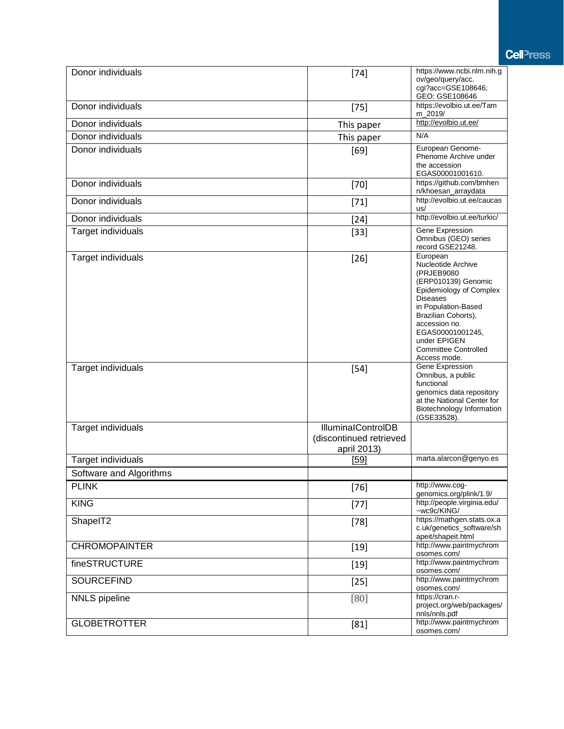**Cell**<sup>-</sup>ress

| Donor individuals       | $[74]$                    | https://www.ncbi.nlm.nih.g<br>ov/geo/query/acc.<br>cgi?acc=GSE108646;                                                                                                                                                                                               |
|-------------------------|---------------------------|---------------------------------------------------------------------------------------------------------------------------------------------------------------------------------------------------------------------------------------------------------------------|
|                         |                           | GEO: GSE108646                                                                                                                                                                                                                                                      |
| Donor individuals       | $[75]$                    | https://evolbio.ut.ee/Tam<br>m 2019/                                                                                                                                                                                                                                |
| Donor individuals       | This paper                | http://evolbio.ut.ee/                                                                                                                                                                                                                                               |
| Donor individuals       | This paper                | N/A                                                                                                                                                                                                                                                                 |
| Donor individuals       | [69]                      | European Genome-                                                                                                                                                                                                                                                    |
|                         |                           | Phenome Archive under<br>the accession                                                                                                                                                                                                                              |
|                         |                           | EGAS00001001610.<br>https://github.com/bmhen                                                                                                                                                                                                                        |
| Donor individuals       | $[70]$                    | n/khoesan_arraydata                                                                                                                                                                                                                                                 |
| Donor individuals       | $[71]$                    | http://evolbio.ut.ee/caucas<br>us/                                                                                                                                                                                                                                  |
| Donor individuals       | $[24]$                    | http://evolbio.ut.ee/turkic/                                                                                                                                                                                                                                        |
| Target individuals      | $[33]$                    | Gene Expression<br>Omnibus (GEO) series<br>record GSE21248.                                                                                                                                                                                                         |
| Target individuals      | $[26]$                    | European<br>Nucleotide Archive<br>(PRJEB9080<br>(ERP010139) Genomic<br>Epidemiology of Complex<br><b>Diseases</b><br>in Population-Based<br>Brazilian Cohorts),<br>accession no.<br>EGAS00001001245,<br>under EPIGEN<br><b>Committee Controlled</b><br>Access mode. |
| Target individuals      | $[54]$                    | Gene Expression<br>Omnibus, a public<br>functional<br>genomics data repository<br>at the National Center for<br>Biotechnology Information<br>(GSE33528).                                                                                                            |
| Target individuals      | <b>IlluminalControlDB</b> |                                                                                                                                                                                                                                                                     |
|                         | (discontinued retrieved   |                                                                                                                                                                                                                                                                     |
|                         | april 2013)               |                                                                                                                                                                                                                                                                     |
| Target individuals      | <u>[59]</u>               | marta.alarcon@genyo.es                                                                                                                                                                                                                                              |
| Software and Algorithms |                           |                                                                                                                                                                                                                                                                     |
| <b>PLINK</b>            | $[76]$                    | http://www.cog-<br>genomics.org/plink/1.9/                                                                                                                                                                                                                          |
| <b>KING</b>             | $[77]$                    | http://people.virginia.edu/<br>~wc9c/KING/                                                                                                                                                                                                                          |
| ShapeIT2                | $[78]$                    | https://mathgen.stats.ox.a<br>c.uk/genetics_software/sh<br>apeit/shapeit.html                                                                                                                                                                                       |
| <b>CHROMOPAINTER</b>    | $[19]$                    | http://www.paintmychrom<br>osomes.com/                                                                                                                                                                                                                              |
| fineSTRUCTURE           | $[19]$                    | http://www.paintmychrom<br>osomes.com/                                                                                                                                                                                                                              |
| <b>SOURCEFIND</b>       | $[25]$                    | http://www.paintmychrom<br>osomes.com/                                                                                                                                                                                                                              |
| <b>NNLS</b> pipeline    | [80]                      | https://cran.r-<br>project.org/web/packages/<br>nnls/nnls.pdf                                                                                                                                                                                                       |
| <b>GLOBETROTTER</b>     | [81]                      | http://www.paintmychrom<br>osomes.com/                                                                                                                                                                                                                              |